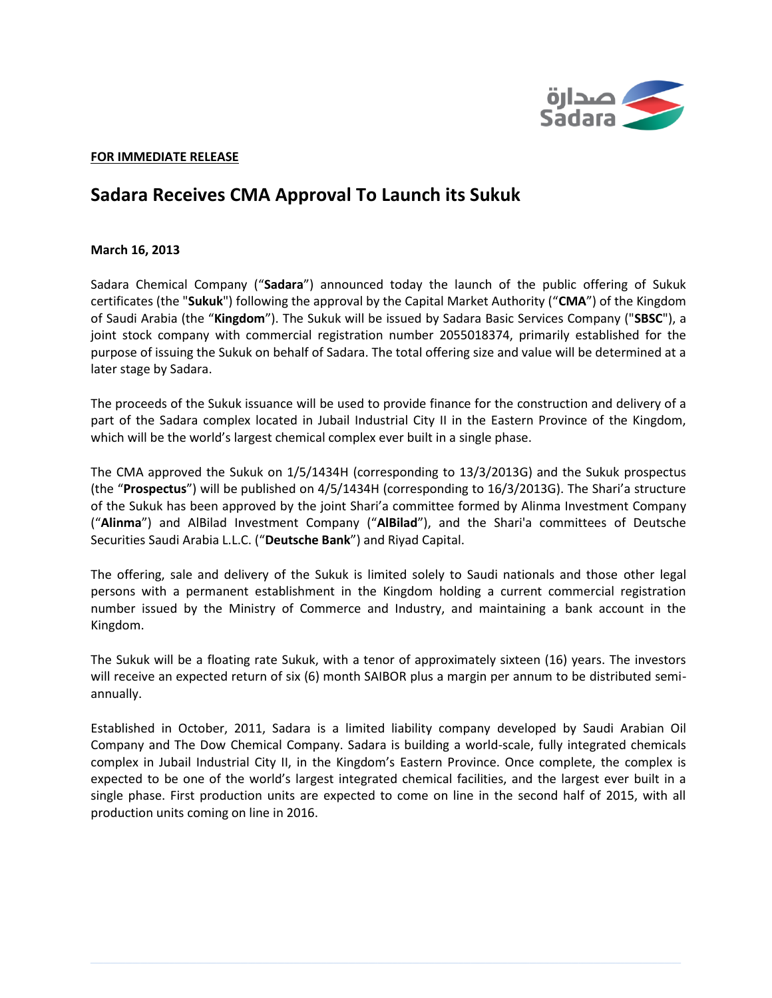

## **FOR IMMEDIATE RELEASE**

## **Sadara Receives CMA Approval To Launch its Sukuk**

## **March 16, 2013**

Sadara Chemical Company ("**Sadara**") announced today the launch of the public offering of Sukuk certificates (the "**Sukuk**") following the approval by the Capital Market Authority ("**CMA**") of the Kingdom of Saudi Arabia (the "**Kingdom**"). The Sukuk will be issued by Sadara Basic Services Company ("**SBSC**"), a joint stock company with commercial registration number 2055018374, primarily established for the purpose of issuing the Sukuk on behalf of Sadara. The total offering size and value will be determined at a later stage by Sadara.

The proceeds of the Sukuk issuance will be used to provide finance for the construction and delivery of a part of the Sadara complex located in Jubail Industrial City II in the Eastern Province of the Kingdom, which will be the world's largest chemical complex ever built in a single phase.

The CMA approved the Sukuk on 1/5/1434H (corresponding to 13/3/2013G) and the Sukuk prospectus (the "**Prospectus**") will be published on 4/5/1434H (corresponding to 16/3/2013G). The Shari'a structure of the Sukuk has been approved by the joint Shari'a committee formed by Alinma Investment Company ("**Alinma**") and AlBilad Investment Company ("**AlBilad**"), and the Shari'a committees of Deutsche Securities Saudi Arabia L.L.C. ("**Deutsche Bank**") and Riyad Capital.

The offering, sale and delivery of the Sukuk is limited solely to Saudi nationals and those other legal persons with a permanent establishment in the Kingdom holding a current commercial registration number issued by the Ministry of Commerce and Industry, and maintaining a bank account in the Kingdom.

The Sukuk will be a floating rate Sukuk, with a tenor of approximately sixteen (16) years. The investors will receive an expected return of six (6) month SAIBOR plus a margin per annum to be distributed semiannually.

Established in October, 2011, Sadara is a limited liability company developed by Saudi Arabian Oil Company and The Dow Chemical Company. Sadara is building a world-scale, fully integrated chemicals complex in Jubail Industrial City II, in the Kingdom's Eastern Province. Once complete, the complex is expected to be one of the world's largest integrated chemical facilities, and the largest ever built in a single phase. First production units are expected to come on line in the second half of 2015, with all production units coming on line in 2016.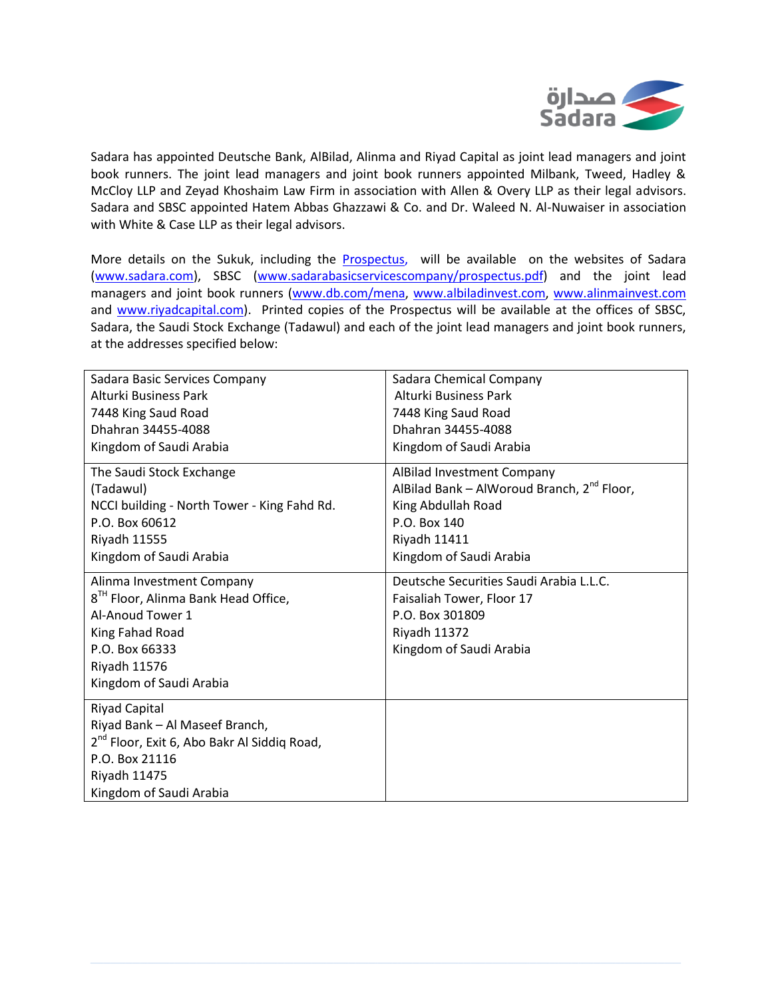

Sadara has appointed Deutsche Bank, AlBilad, Alinma and Riyad Capital as joint lead managers and joint book runners. The joint lead managers and joint book runners appointed Milbank, Tweed, Hadley & McCloy LLP and Zeyad Khoshaim Law Firm in association with Allen & Overy LLP as their legal advisors. Sadara and SBSC appointed Hatem Abbas Ghazzawi & Co. and Dr. Waleed N. Al-Nuwaiser in association with White & Case LLP as their legal advisors.

More details on the Sukuk, including the **Prospectus**, will be available on the websites of Sadara [\(www.sadara.com\)](http://www.sadara.com/), SBSC [\(www.sadarabasicservicescompany/prospectus.pdf\)](http://www.sadara.com/sadarabasicservicescompany/prospectus.pdf) and the joint lead managers and joint book runners [\(www.db.com/mena,](file:///C:/Users/u367098/AppData/Local/Microsoft/Windows/AppData/AppData/Local/Microsoft/Windows/Temporary%20Internet%20Files/Temporary%20Internet%20Files/OLKB3/www.db.com/mena) [www.albiladinvest.com,](http://www.albiladinvest.com/) [www.alinmainvest.com](http://www.alinmainvest.com/) and [www.riyadcapital.com\)](http://www.riyadcapital.com/). Printed copies of the Prospectus will be available at the offices of SBSC, Sadara, the Saudi Stock Exchange (Tadawul) and each of the joint lead managers and joint book runners, at the addresses specified below:

| Sadara Basic Services Company                                                                                                                                                           | Sadara Chemical Company                                                                                                                   |
|-----------------------------------------------------------------------------------------------------------------------------------------------------------------------------------------|-------------------------------------------------------------------------------------------------------------------------------------------|
| Alturki Business Park                                                                                                                                                                   | Alturki Business Park                                                                                                                     |
| 7448 King Saud Road                                                                                                                                                                     | 7448 King Saud Road                                                                                                                       |
| Dhahran 34455-4088                                                                                                                                                                      | Dhahran 34455-4088                                                                                                                        |
| Kingdom of Saudi Arabia                                                                                                                                                                 | Kingdom of Saudi Arabia                                                                                                                   |
| The Saudi Stock Exchange                                                                                                                                                                | AlBilad Investment Company                                                                                                                |
| (Tadawul)                                                                                                                                                                               | AlBilad Bank - AlWoroud Branch, 2 <sup>nd</sup> Floor,                                                                                    |
| NCCI building - North Tower - King Fahd Rd.                                                                                                                                             | King Abdullah Road                                                                                                                        |
| P.O. Box 60612                                                                                                                                                                          | P.O. Box 140                                                                                                                              |
| <b>Riyadh 11555</b>                                                                                                                                                                     | Riyadh 11411                                                                                                                              |
| Kingdom of Saudi Arabia                                                                                                                                                                 | Kingdom of Saudi Arabia                                                                                                                   |
| Alinma Investment Company<br>8 <sup>TH</sup> Floor, Alinma Bank Head Office,<br>Al-Anoud Tower 1<br>King Fahad Road<br>P.O. Box 66333<br><b>Riyadh 11576</b><br>Kingdom of Saudi Arabia | Deutsche Securities Saudi Arabia L.L.C.<br>Faisaliah Tower, Floor 17<br>P.O. Box 301809<br><b>Riyadh 11372</b><br>Kingdom of Saudi Arabia |
| Riyad Capital<br>Riyad Bank - Al Maseef Branch,<br>2 <sup>nd</sup> Floor, Exit 6, Abo Bakr Al Siddiq Road,<br>P.O. Box 21116<br><b>Riyadh 11475</b><br>Kingdom of Saudi Arabia          |                                                                                                                                           |